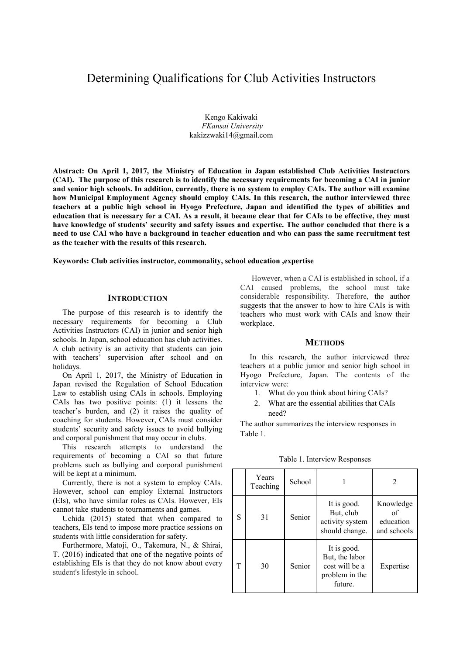# Determining Qualifications for Club Activities Instructors

Kengo Kakiwaki *FKansai University*  kakizzwaki14@gmail.com

**Abstract: On April 1, 2017, the Ministry of Education in Japan established Club Activities Instructors (CAI). The purpose of this research is to identify the necessary requirements for becoming a CAI in junior and senior high schools. In addition, currently, there is no system to employ CAIs. The author will examine how Municipal Employment Agency should employ CAIs. In this research, the author interviewed three teachers at a public high school in Hyogo Prefecture, Japan and identified the types of abilities and education that is necessary for a CAI. As a result, it became clear that for CAIs to be effective, they must have knowledge of students' security and safety issues and expertise. The author concluded that there is a need to use CAI who have a background in teacher education and who can pass the same recruitment test as the teacher with the results of this research.** 

**Keywords: Club activities instructor, commonality, school education ,expertise** 

#### **INTRODUCTION**

The purpose of this research is to identify the necessary requirements for becoming a Club Activities Instructors (CAI) in junior and senior high schools. In Japan, school education has club activities. A club activity is an activity that students can join with teachers' supervision after school and on holidays.

On April 1, 2017, the Ministry of Education in Japan revised the Regulation of School Education Law to establish using CAIs in schools. Employing CAIs has two positive points: (1) it lessens the teacher's burden, and (2) it raises the quality of coaching for students. However, CAIs must consider students' security and safety issues to avoid bullying and corporal punishment that may occur in clubs.

This research attempts to understand the requirements of becoming a CAI so that future problems such as bullying and corporal punishment will be kept at a minimum.

Currently, there is not a system to employ CAIs. However, school can employ External Instructors (EIs), who have similar roles as CAIs. However, EIs cannot take students to tournaments and games.

Uchida (2015) stated that when compared to teachers, EIs tend to impose more practice sessions on students with little consideration for safety.

Furthermore, Matoji, O., Takemura, N., & Shirai, T. (2016) indicated that one of the negative points of establishing EIs is that they do not know about every student's lifestyle in school.

 However, when a CAI is established in school, if a CAI caused problems, the school must take considerable responsibility. Therefore, the author suggests that the answer to how to hire CAIs is with teachers who must work with CAIs and know their workplace.

#### **METHODS**

In this research, the author interviewed three teachers at a public junior and senior high school in Hyogo Prefecture, Japan. The contents of the interview were:

- 1. What do you think about hiring CAIs?
- 2. What are the essential abilities that CAIs need?

The author summarizes the interview responses in Table 1.

|   | Years<br>Teaching | School |                                                                              | 2                                           |
|---|-------------------|--------|------------------------------------------------------------------------------|---------------------------------------------|
| S | 31                | Senior | It is good.<br>But, club<br>activity system<br>should change.                | Knowledge<br>of<br>education<br>and schools |
| т | 30                | Senior | It is good.<br>But, the labor<br>cost will be a<br>problem in the<br>future. | Expertise                                   |

Table 1. Interview Responses